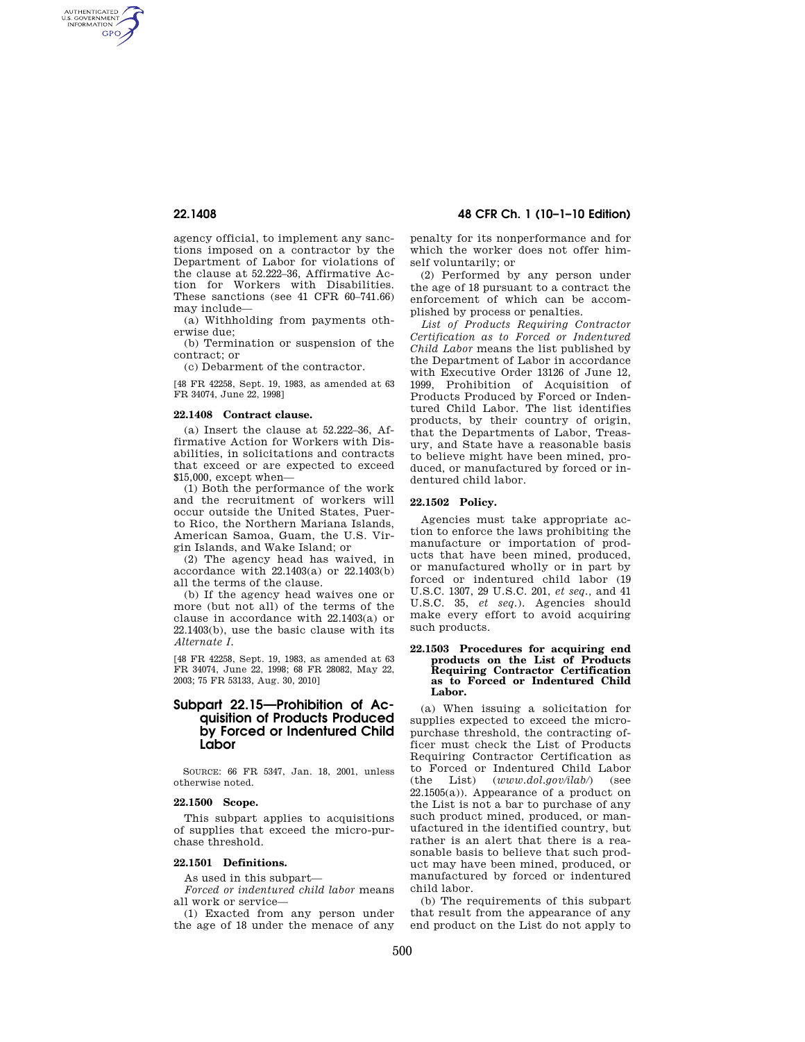AUTHENTICATED<br>U.S. GOVERNMENT<br>INFORMATION **GPO** 

> agency official, to implement any sanctions imposed on a contractor by the Department of Labor for violations of the clause at 52.222–36, Affirmative Action for Workers with Disabilities. These sanctions (see 41 CFR 60–741.66) may include—

(a) Withholding from payments otherwise due;

(b) Termination or suspension of the contract; or

(c) Debarment of the contractor.

[48 FR 42258, Sept. 19, 1983, as amended at 63 FR 34074, June 22, 1998]

## **22.1408 Contract clause.**

(a) Insert the clause at 52.222–36, Affirmative Action for Workers with Disabilities, in solicitations and contracts that exceed or are expected to exceed \$15,000, except when—

(1) Both the performance of the work and the recruitment of workers will occur outside the United States, Puerto Rico, the Northern Mariana Islands, American Samoa, Guam, the U.S. Virgin Islands, and Wake Island; or

(2) The agency head has waived, in accordance with 22.1403(a) or 22.1403(b) all the terms of the clause.

(b) If the agency head waives one or more (but not all) of the terms of the clause in accordance with 22.1403(a) or 22.1403(b), use the basic clause with its *Alternate I.* 

[48 FR 42258, Sept. 19, 1983, as amended at 63 FR 34074, June 22, 1998; 68 FR 28082, May 22, 2003; 75 FR 53133, Aug. 30, 2010]

# **Subpart 22.15—Prohibition of Acquisition of Products Produced by Forced or Indentured Child Labor**

SOURCE: 66 FR 5347, Jan. 18, 2001, unless otherwise noted.

## **22.1500 Scope.**

This subpart applies to acquisitions of supplies that exceed the micro-purchase threshold.

## **22.1501 Definitions.**

As used in this subpart—

*Forced or indentured child labor* means all work or service—

(1) Exacted from any person under the age of 18 under the menace of any

# **22.1408 48 CFR Ch. 1 (10–1–10 Edition)**

penalty for its nonperformance and for which the worker does not offer himself voluntarily; or

(2) Performed by any person under the age of 18 pursuant to a contract the enforcement of which can be accomplished by process or penalties.

*List of Products Requiring Contractor Certification as to Forced or Indentured Child Labor* means the list published by the Department of Labor in accordance with Executive Order 13126 of June 12, 1999, Prohibition of Acquisition of Products Produced by Forced or Indentured Child Labor. The list identifies products, by their country of origin, that the Departments of Labor, Treasury, and State have a reasonable basis to believe might have been mined, produced, or manufactured by forced or indentured child labor.

### **22.1502 Policy.**

Agencies must take appropriate action to enforce the laws prohibiting the manufacture or importation of products that have been mined, produced, or manufactured wholly or in part by forced or indentured child labor (19 U.S.C. 1307, 29 U.S.C. 201, *et seq.,* and 41 U.S.C. 35, *et seq.*). Agencies should make every effort to avoid acquiring such products.

### **22.1503 Procedures for acquiring end products on the List of Products Requiring Contractor Certification as to Forced or Indentured Child Labor.**

(a) When issuing a solicitation for supplies expected to exceed the micropurchase threshold, the contracting officer must check the List of Products Requiring Contractor Certification as to Forced or Indentured Child Labor (the List) (*www.dol.gov/ilab/*) (see  $22.1505(a)$ ). Appearance of a product on the List is not a bar to purchase of any such product mined, produced, or manufactured in the identified country, but rather is an alert that there is a reasonable basis to believe that such product may have been mined, produced, or manufactured by forced or indentured child labor.

(b) The requirements of this subpart that result from the appearance of any end product on the List do not apply to